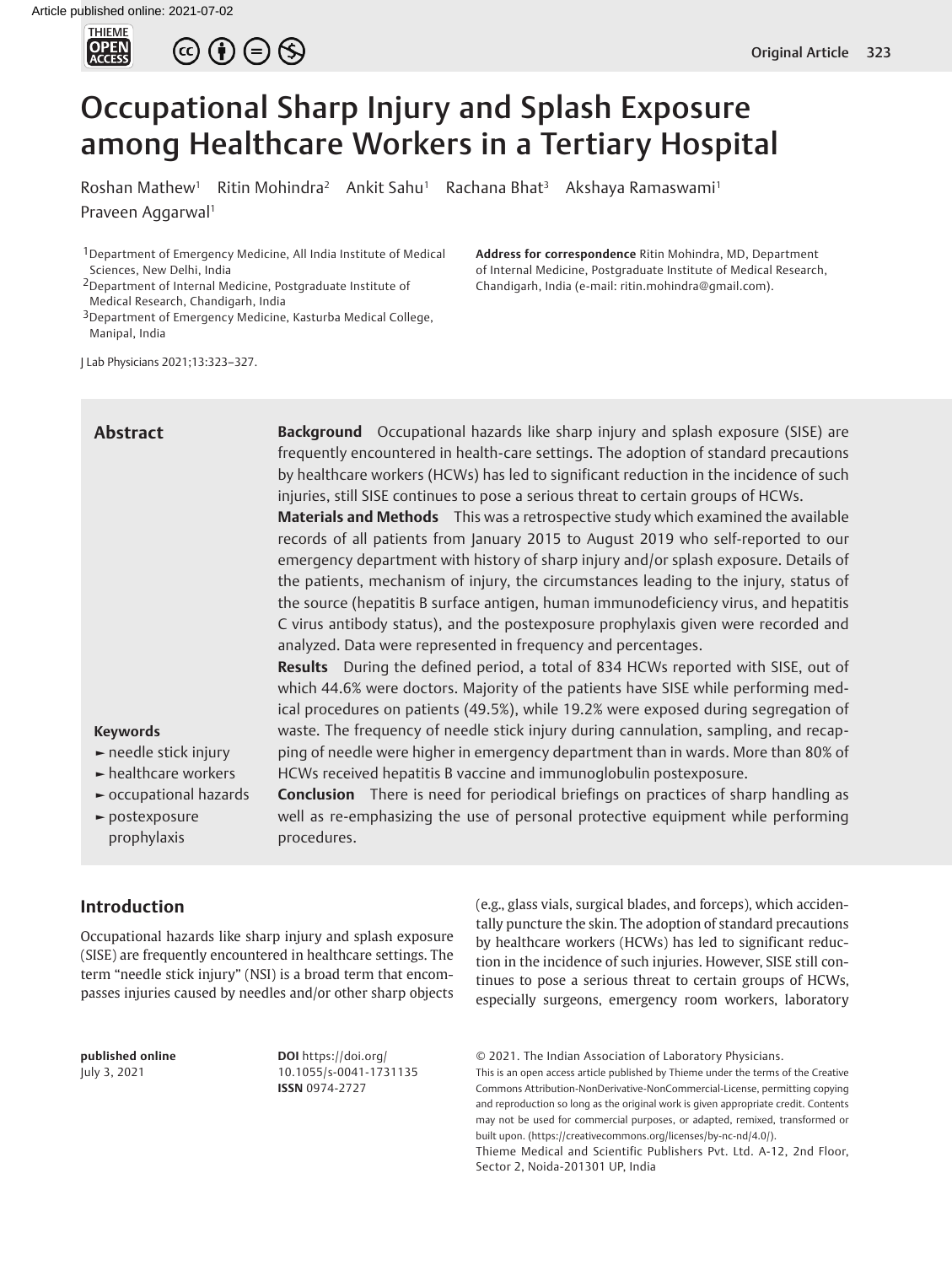



# Occupational Sharp Injury and Splash Exposure among Healthcare Workers in a Tertiary Hospital

Roshan Mathew<sup>1</sup> Ritin Mohindra<sup>2</sup> Ankit Sahu<sup>1</sup> Rachana Bhat<sup>3</sup> Akshaya Ramaswami<sup>1</sup> Praveen Aggarwal<sup>1</sup>

1Department of Emergency Medicine, All India Institute of Medical Sciences, New Delhi, India

2Department of Internal Medicine, Postgraduate Institute of Medical Research, Chandigarh, India

3Department of Emergency Medicine, Kasturba Medical College, Manipal, India

J Lab Physicians 2021;13:323–327.

# **Abstract**

**Address for correspondence** Ritin Mohindra, MD, Department of Internal Medicine, Postgraduate Institute of Medical Research,

Chandigarh, India (e-mail: ritin.mohindra@gmail.com).

**Background** Occupational hazards like sharp injury and splash exposure (SISE) are frequently encountered in health-care settings. The adoption of standard precautions by healthcare workers (HCWs) has led to significant reduction in the incidence of such injuries, still SISE continues to pose a serious threat to certain groups of HCWs. **Materials and Methods** This was a retrospective study which examined the available records of all patients from January 2015 to August 2019 who self-reported to our emergency department with history of sharp injury and/or splash exposure. Details of

the patients, mechanism of injury, the circumstances leading to the injury, status of the source (hepatitis B surface antigen, human immunodeficiency virus, and hepatitis C virus antibody status), and the postexposure prophylaxis given were recorded and analyzed. Data were represented in frequency and percentages.

**Results** During the defined period, a total of 834 HCWs reported with SISE, out of which 44.6% were doctors. Majority of the patients have SISE while performing medical procedures on patients (49.5%), while 19.2% were exposed during segregation of waste. The frequency of needle stick injury during cannulation, sampling, and recapping of needle were higher in emergency department than in wards. More than 80% of HCWs received hepatitis B vaccine and immunoglobulin postexposure.

# **Keywords**

- **►** needle stick injury
- **►** healthcare workers
- **►** occupational hazards
- **►** postexposure prophylaxis

**Conclusion** There is need for periodical briefings on practices of sharp handling as well as re-emphasizing the use of personal protective equipment while performing procedures.

## **Introduction**

Occupational hazards like sharp injury and splash exposure (SISE) are frequently encountered in healthcare settings. The term "needle stick injury" (NSI) is a broad term that encompasses injuries caused by needles and/or other sharp objects

**published online** July 3, 2021

**DOI** https://doi.org/ 10.1055/s-0041-1731135 **ISSN** 0974-2727

(e.g., glass vials, surgical blades, and forceps), which accidentally puncture the skin. The adoption of standard precautions by healthcare workers (HCWs) has led to significant reduction in the incidence of such injuries. However, SISE still continues to pose a serious threat to certain groups of HCWs, especially surgeons, emergency room workers, laboratory

© 2021. The Indian Association of Laboratory Physicians.

This is an open access article published by Thieme under the terms of the Creative Commons Attribution-NonDerivative-NonCommercial-License, permitting copying and reproduction so long as the original work is given appropriate credit. Contents may not be used for commercial purposes, or adapted, remixed, transformed or built upon. (https://creativecommons.org/licenses/by-nc-nd/4.0/).

Thieme Medical and Scientific Publishers Pvt. Ltd. A-12, 2nd Floor, Sector 2, Noida-201301 UP, India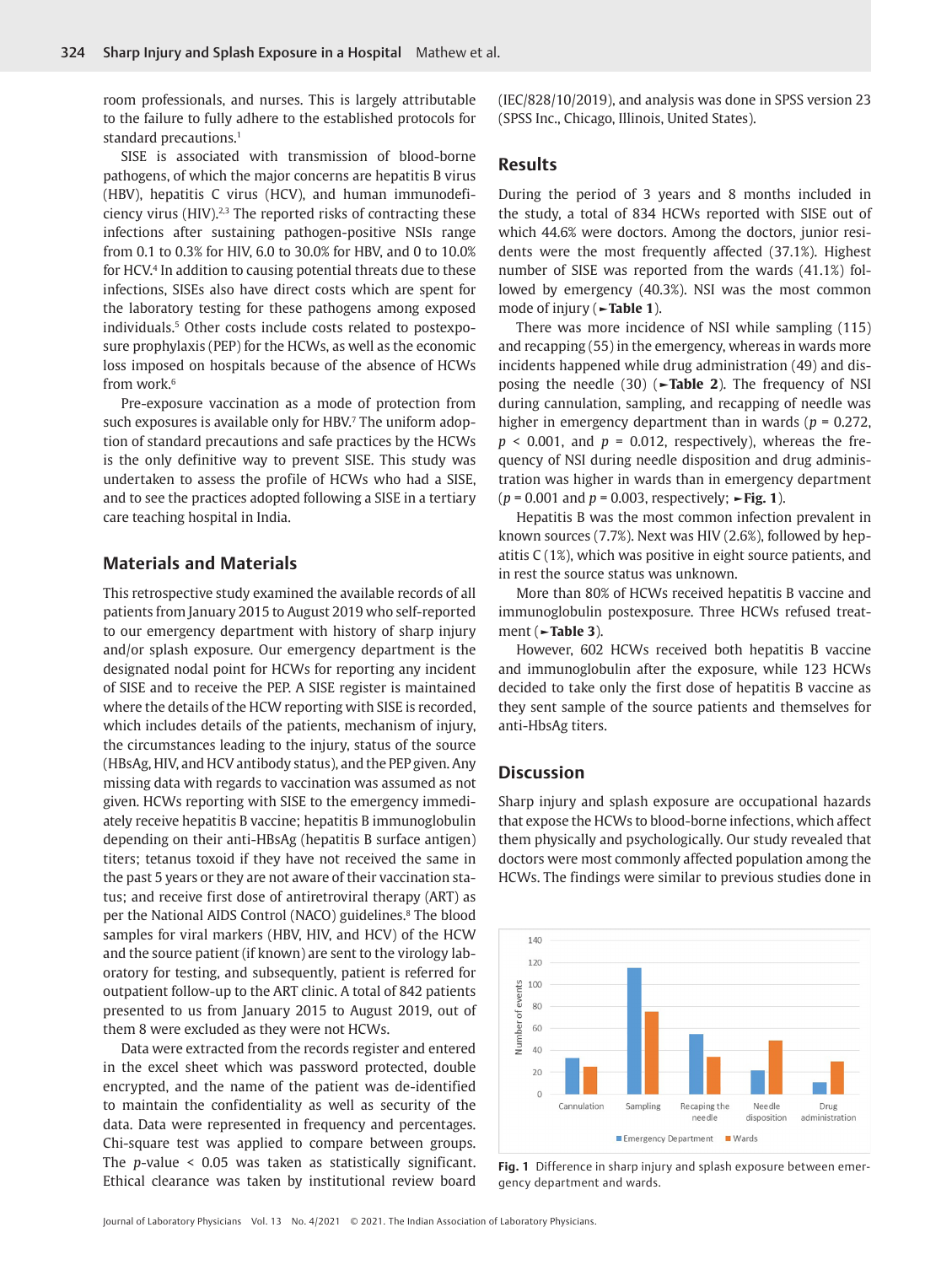room professionals, and nurses. This is largely attributable to the failure to fully adhere to the established protocols for standard precautions.<sup>1</sup>

SISE is associated with transmission of blood-borne pathogens, of which the major concerns are hepatitis B virus (HBV), hepatitis C virus (HCV), and human immunodeficiency virus (HIV). $2,3$  The reported risks of contracting these infections after sustaining pathogen-positive NSIs range from 0.1 to 0.3% for HIV, 6.0 to 30.0% for HBV, and 0 to 10.0% for HCV.4 In addition to causing potential threats due to these infections, SISEs also have direct costs which are spent for the laboratory testing for these pathogens among exposed individuals.5 Other costs include costs related to postexposure prophylaxis (PEP) for the HCWs, as well as the economic loss imposed on hospitals because of the absence of HCWs from work.6

Pre-exposure vaccination as a mode of protection from such exposures is available only for HBV.<sup>7</sup> The uniform adoption of standard precautions and safe practices by the HCWs is the only definitive way to prevent SISE. This study was undertaken to assess the profile of HCWs who had a SISE, and to see the practices adopted following a SISE in a tertiary care teaching hospital in India.

## **Materials and Materials**

This retrospective study examined the available records of all patients from January 2015 to August 2019 who self-reported to our emergency department with history of sharp injury and/or splash exposure. Our emergency department is the designated nodal point for HCWs for reporting any incident of SISE and to receive the PEP. A SISE register is maintained where the details of the HCW reporting with SISE is recorded, which includes details of the patients, mechanism of injury, the circumstances leading to the injury, status of the source (HBsAg, HIV, and HCV antibody status), and the PEP given. Any missing data with regards to vaccination was assumed as not given. HCWs reporting with SISE to the emergency immediately receive hepatitis B vaccine; hepatitis B immunoglobulin depending on their anti-HBsAg (hepatitis B surface antigen) titers; tetanus toxoid if they have not received the same in the past 5 years or they are not aware of their vaccination status; and receive first dose of antiretroviral therapy (ART) as per the National AIDS Control (NACO) guidelines.<sup>8</sup> The blood samples for viral markers (HBV, HIV, and HCV) of the HCW and the source patient (if known) are sent to the virology laboratory for testing, and subsequently, patient is referred for outpatient follow-up to the ART clinic. A total of 842 patients presented to us from January 2015 to August 2019, out of them 8 were excluded as they were not HCWs.

Data were extracted from the records register and entered in the excel sheet which was password protected, double encrypted, and the name of the patient was de-identified to maintain the confidentiality as well as security of the data. Data were represented in frequency and percentages. Chi-square test was applied to compare between groups. The *p*-value < 0.05 was taken as statistically significant. Ethical clearance was taken by institutional review board

(IEC/828/10/2019), and analysis was done in SPSS version 23 (SPSS Inc., Chicago, Illinois, United States).

## **Results**

During the period of 3 years and 8 months included in the study, a total of 834 HCWs reported with SISE out of which 44.6% were doctors. Among the doctors, junior residents were the most frequently affected (37.1%). Highest number of SISE was reported from the wards (41.1%) followed by emergency (40.3%). NSI was the most common mode of injury (**►Table 1**).

There was more incidence of NSI while sampling (115) and recapping (55) in the emergency, whereas in wards more incidents happened while drug administration (49) and disposing the needle (30) (►**Table 2**). The frequency of NSI during cannulation, sampling, and recapping of needle was higher in emergency department than in wards (*p* = 0.272,  $p \le 0.001$ , and  $p = 0.012$ , respectively), whereas the frequency of NSI during needle disposition and drug administration was higher in wards than in emergency department (*p* = 0.001 and *p* = 0.003, respectively; **►Fig. 1**).

Hepatitis B was the most common infection prevalent in known sources (7.7%). Next was HIV (2.6%), followed by hepatitis C (1%), which was positive in eight source patients, and in rest the source status was unknown.

More than 80% of HCWs received hepatitis B vaccine and immunoglobulin postexposure. Three HCWs refused treatment (**►Table 3**).

However, 602 HCWs received both hepatitis B vaccine and immunoglobulin after the exposure, while 123 HCWs decided to take only the first dose of hepatitis B vaccine as they sent sample of the source patients and themselves for anti-HbsAg titers.

### **Discussion**

Sharp injury and splash exposure are occupational hazards that expose the HCWs to blood-borne infections, which affect them physically and psychologically. Our study revealed that doctors were most commonly affected population among the HCWs. The findings were similar to previous studies done in



**Fig. 1** Difference in sharp injury and splash exposure between emergency department and wards.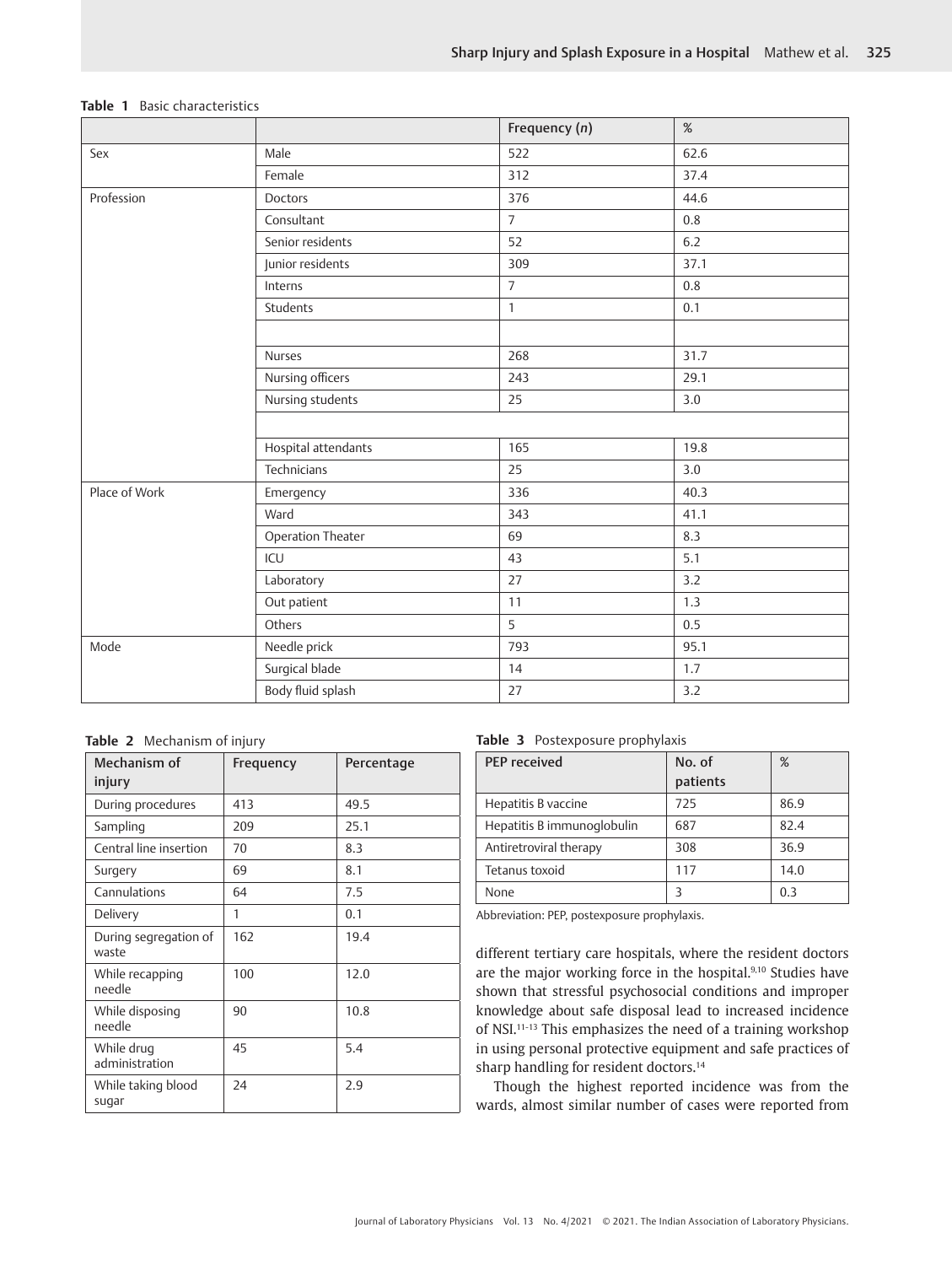|               |                     | Frequency (n)  | $\%$ |
|---------------|---------------------|----------------|------|
| Sex           | Male                | 522            | 62.6 |
|               | Female              | 312            | 37.4 |
| Profession    | Doctors             | 376            | 44.6 |
|               | Consultant          | $\overline{7}$ | 0.8  |
|               | Senior residents    | 52             | 6.2  |
|               | Junior residents    | 309            | 37.1 |
|               | Interns             | $\overline{7}$ | 0.8  |
|               | Students            | $\mathbf{1}$   | 0.1  |
|               |                     |                |      |
|               | Nurses              | 268            | 31.7 |
|               | Nursing officers    | 243            | 29.1 |
|               | Nursing students    | 25             | 3.0  |
|               |                     |                |      |
|               | Hospital attendants | 165            | 19.8 |
|               | Technicians         | 25             | 3.0  |
| Place of Work | Emergency           | 336            | 40.3 |
|               | Ward                | 343            | 41.1 |
|               | Operation Theater   | 69             | 8.3  |
|               | ICU                 | 43             | 5.1  |
|               | Laboratory          | 27             | 3.2  |
|               | Out patient         | 11             | 1.3  |
|               | Others              | 5              | 0.5  |
| Mode          | Needle prick        | 793            | 95.1 |
|               | Surgical blade      | 14             | 1.7  |
|               | Body fluid splash   | 27             | 3.2  |

## **Table 1** Basic characteristics

**Table 2** Mechanism of injury

| Mechanism of<br>injury         | Frequency | Percentage |
|--------------------------------|-----------|------------|
| During procedures              | 413       | 49.5       |
| Sampling                       | 209       | 25.1       |
| Central line insertion         | 70        | 8.3        |
| Surgery                        | 69        | 8.1        |
| Cannulations                   | 64        | 7.5        |
| Delivery                       | 1         | 0.1        |
| During segregation of<br>waste | 162       | 19.4       |
| While recapping<br>needle      | 100       | 12.0       |
| While disposing<br>needle      | 90        | 10.8       |
| While drug<br>administration   | 45        | 5.4        |
| While taking blood<br>sugar    | 24        | 2.9        |

### **Table 3** Postexposure prophylaxis

| PFP received               | No. of<br>patients | %    |
|----------------------------|--------------------|------|
| Hepatitis B vaccine        | 725                | 86.9 |
| Hepatitis B immunoglobulin | 687                | 82.4 |
| Antiretroviral therapy     | 308                | 36.9 |
| Tetanus toxoid             | 117                | 14.0 |
| None                       | 3                  | 0.3  |

Abbreviation: PEP, postexposure prophylaxis.

different tertiary care hospitals, where the resident doctors are the major working force in the hospital.<sup>9,10</sup> Studies have shown that stressful psychosocial conditions and improper knowledge about safe disposal lead to increased incidence of NSI.<sup>11-13</sup> This emphasizes the need of a training workshop in using personal protective equipment and safe practices of sharp handling for resident doctors.<sup>14</sup>

Though the highest reported incidence was from the wards, almost similar number of cases were reported from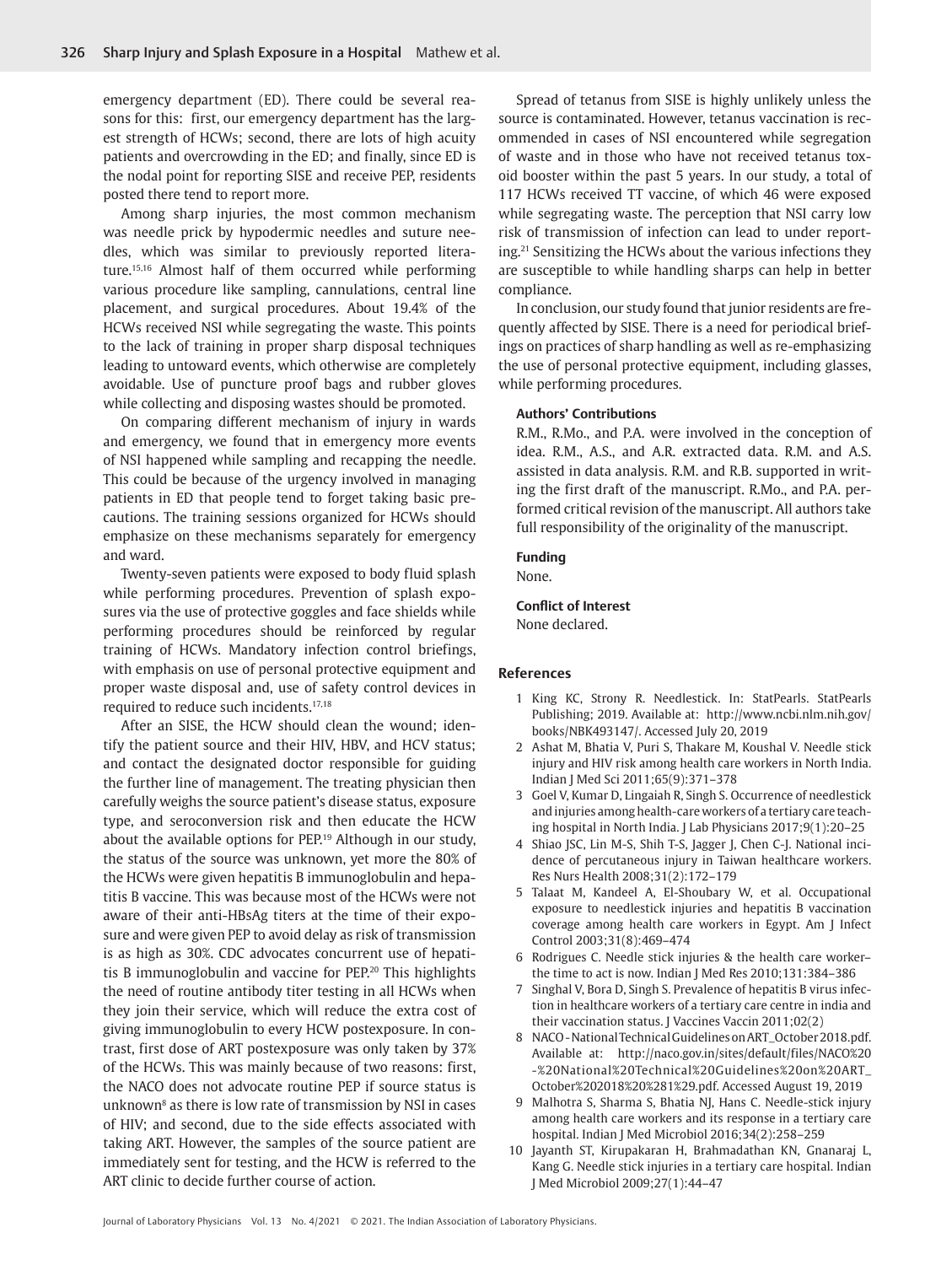emergency department (ED). There could be several reasons for this: first, our emergency department has the largest strength of HCWs; second, there are lots of high acuity patients and overcrowding in the ED; and finally, since ED is the nodal point for reporting SISE and receive PEP, residents posted there tend to report more.

Among sharp injuries, the most common mechanism was needle prick by hypodermic needles and suture needles, which was similar to previously reported literature.15,16 Almost half of them occurred while performing various procedure like sampling, cannulations, central line placement, and surgical procedures. About 19.4% of the HCWs received NSI while segregating the waste. This points to the lack of training in proper sharp disposal techniques leading to untoward events, which otherwise are completely avoidable. Use of puncture proof bags and rubber gloves while collecting and disposing wastes should be promoted.

On comparing different mechanism of injury in wards and emergency, we found that in emergency more events of NSI happened while sampling and recapping the needle. This could be because of the urgency involved in managing patients in ED that people tend to forget taking basic precautions. The training sessions organized for HCWs should emphasize on these mechanisms separately for emergency and ward.

Twenty-seven patients were exposed to body fluid splash while performing procedures. Prevention of splash exposures via the use of protective goggles and face shields while performing procedures should be reinforced by regular training of HCWs. Mandatory infection control briefings, with emphasis on use of personal protective equipment and proper waste disposal and, use of safety control devices in required to reduce such incidents.17,18

After an SISE, the HCW should clean the wound; identify the patient source and their HIV, HBV, and HCV status; and contact the designated doctor responsible for guiding the further line of management. The treating physician then carefully weighs the source patient's disease status, exposure type, and seroconversion risk and then educate the HCW about the available options for PEP.19 Although in our study, the status of the source was unknown, yet more the 80% of the HCWs were given hepatitis B immunoglobulin and hepatitis B vaccine. This was because most of the HCWs were not aware of their anti-HBsAg titers at the time of their exposure and were given PEP to avoid delay as risk of transmission is as high as 30%. CDC advocates concurrent use of hepatitis B immunoglobulin and vaccine for PEP.20 This highlights the need of routine antibody titer testing in all HCWs when they join their service, which will reduce the extra cost of giving immunoglobulin to every HCW postexposure. In contrast, first dose of ART postexposure was only taken by 37% of the HCWs. This was mainly because of two reasons: first, the NACO does not advocate routine PEP if source status is unknown8 as there is low rate of transmission by NSI in cases of HIV; and second, due to the side effects associated with taking ART. However, the samples of the source patient are immediately sent for testing, and the HCW is referred to the ART clinic to decide further course of action.

Spread of tetanus from SISE is highly unlikely unless the source is contaminated. However, tetanus vaccination is recommended in cases of NSI encountered while segregation of waste and in those who have not received tetanus toxoid booster within the past 5 years. In our study, a total of 117 HCWs received TT vaccine, of which 46 were exposed while segregating waste. The perception that NSI carry low risk of transmission of infection can lead to under reporting.21 Sensitizing the HCWs about the various infections they are susceptible to while handling sharps can help in better compliance.

In conclusion, our study found that junior residents are frequently affected by SISE. There is a need for periodical briefings on practices of sharp handling as well as re-emphasizing the use of personal protective equipment, including glasses, while performing procedures.

#### **Authors' Contributions**

R.M., R.Mo., and P.A. were involved in the conception of idea. R.M., A.S., and A.R. extracted data. R.M. and A.S. assisted in data analysis. R.M. and R.B. supported in writing the first draft of the manuscript. R.Mo., and P.A. performed critical revision of the manuscript. All authors take full responsibility of the originality of the manuscript.

#### **Funding**

None.

**Conflict of Interest** None declared.

#### **References**

- 1 King KC, Strony R. Needlestick. In: StatPearls. StatPearls Publishing; 2019. Available at: http://www.ncbi.nlm.nih.gov/ books/NBK493147/. Accessed July 20, 2019
- 2 Ashat M, Bhatia V, Puri S, Thakare M, Koushal V. Needle stick injury and HIV risk among health care workers in North India. Indian J Med Sci 2011;65(9):371–378
- 3 Goel V, Kumar D, Lingaiah R, Singh S. Occurrence of needlestick and injuries among health-care workers of a tertiary care teaching hospital in North India. J Lab Physicians 2017;9(1):20–25
- 4 Shiao JSC, Lin M-S, Shih T-S, Jagger J, Chen C-J. National incidence of percutaneous injury in Taiwan healthcare workers. Res Nurs Health 2008;31(2):172–179
- 5 Talaat M, Kandeel A, El-Shoubary W, et al. Occupational exposure to needlestick injuries and hepatitis B vaccination coverage among health care workers in Egypt. Am J Infect Control 2003;31(8):469–474
- 6 Rodrigues C. Needle stick injuries & the health care worker– the time to act is now. Indian J Med Res 2010;131:384–386
- 7 Singhal V, Bora D, Singh S. Prevalence of hepatitis B virus infection in healthcare workers of a tertiary care centre in india and their vaccination status. J Vaccines Vaccin 2011;02(2)
- 8 NACO National Technical Guidelines on ART\_October 2018.pdf. Available at: http://naco.gov.in/sites/default/files/NACO%20 -%20National%20Technical%20Guidelines%20on%20ART\_ October%202018%20%281%29.pdf. Accessed August 19, 2019
- 9 Malhotra S, Sharma S, Bhatia NJ, Hans C. Needle-stick injury among health care workers and its response in a tertiary care hospital. Indian J Med Microbiol 2016;34(2):258–259
- 10 Jayanth ST, Kirupakaran H, Brahmadathan KN, Gnanaraj L, Kang G. Needle stick injuries in a tertiary care hospital. Indian J Med Microbiol 2009;27(1):44–47